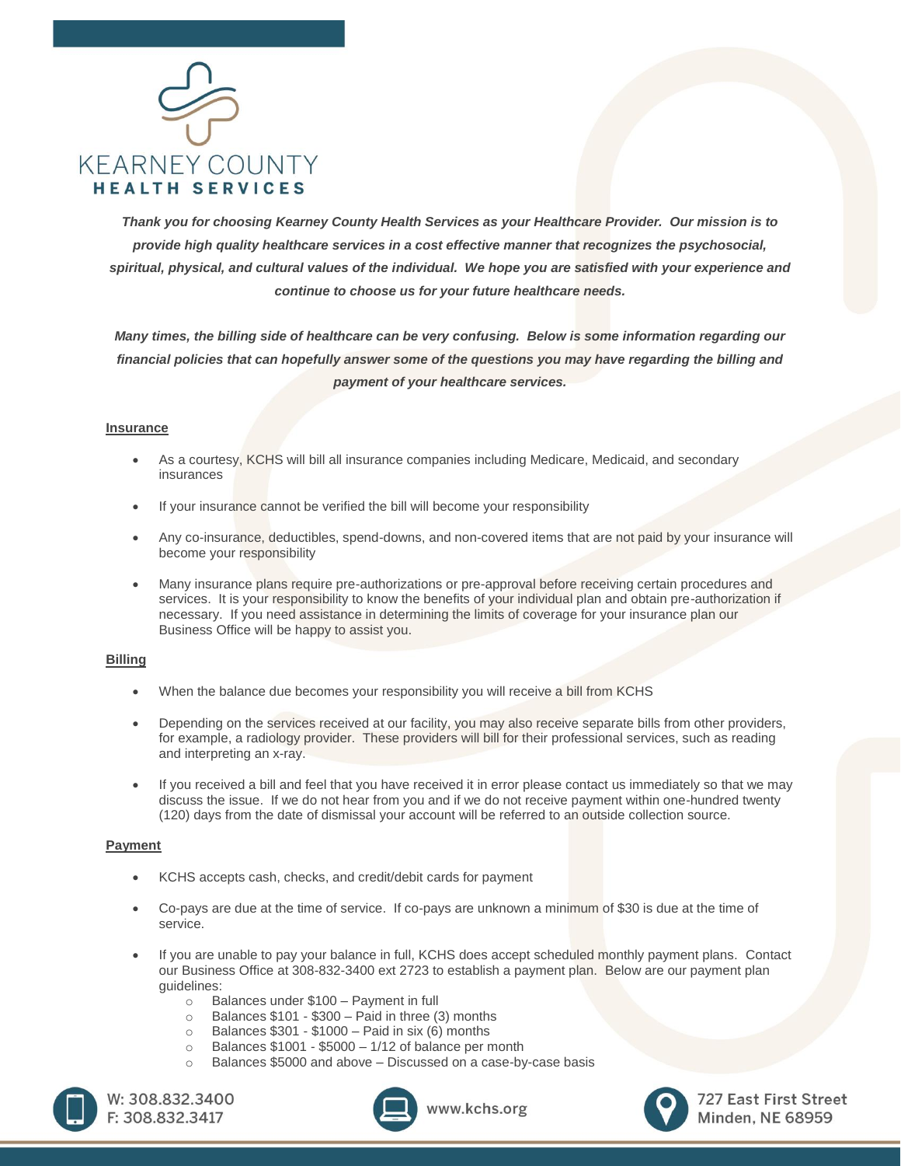

*Thank you for choosing Kearney County Health Services as your Healthcare Provider. Our mission is to provide high quality healthcare services in a cost effective manner that recognizes the psychosocial, spiritual, physical, and cultural values of the individual. We hope you are satisfied with your experience and continue to choose us for your future healthcare needs.*

*Many times, the billing side of healthcare can be very confusing. Below is some information regarding our financial policies that can hopefully answer some of the questions you may have regarding the billing and payment of your healthcare services.*

## **Insurance**

- As a courtesy, KCHS will bill all insurance companies including Medicare, Medicaid, and secondary insurances
- If your insurance cannot be verified the bill will become your responsibility
- Any co-insurance, deductibles, spend-downs, and non-covered items that are not paid by your insurance will become your responsibility
- Many insurance plans require pre-authorizations or pre-approval before receiving certain procedures and services. It is your responsibility to know the benefits of your individual plan and obtain pre-authorization if necessary. If you need assistance in determining the limits of coverage for your insurance plan our Business Office will be happy to assist you.

## **Billing**

- When the balance due becomes your responsibility you will receive a bill from KCHS
- Depending on the services received at our facility, you may also receive separate bills from other providers, for example, a radiology provider. These providers will bill for their professional services, such as reading and interpreting an x-ray.
- If you received a bill and feel that you have received it in error please contact us immediately so that we may discuss the issue. If we do not hear from you and if we do not receive payment within one-hundred twenty (120) days from the date of dismissal your account will be referred to an outside collection source.

## **Payment**

- KCHS accepts cash, checks, and credit/debit cards for payment
- Co-pays are due at the time of service. If co-pays are unknown a minimum of \$30 is due at the time of service.
- If you are unable to pay your balance in full, KCHS does accept scheduled monthly payment plans. Contact our Business Office at 308-832-3400 ext 2723 to establish a payment plan. Below are our payment plan guidelines:
	-
	- o Balances under \$100 Payment in full<br>o Balances \$101 \$300 Paid in three *!!*
	- $\circ$  Balances \$101 \$300 Paid in three (3) months  $\circ$  Balances \$301 \$1000 Paid in six (6) months Balances  $$301 - $1000 -$  Paid in six (6) months
	- $\circ$  Balances \$1001 \$5000 1/12 of balance per month
	- o Balances \$5000 and above Discussed on a case-by-case basis





www.kchs.org



727 East First Street **Minden, NE 68959**